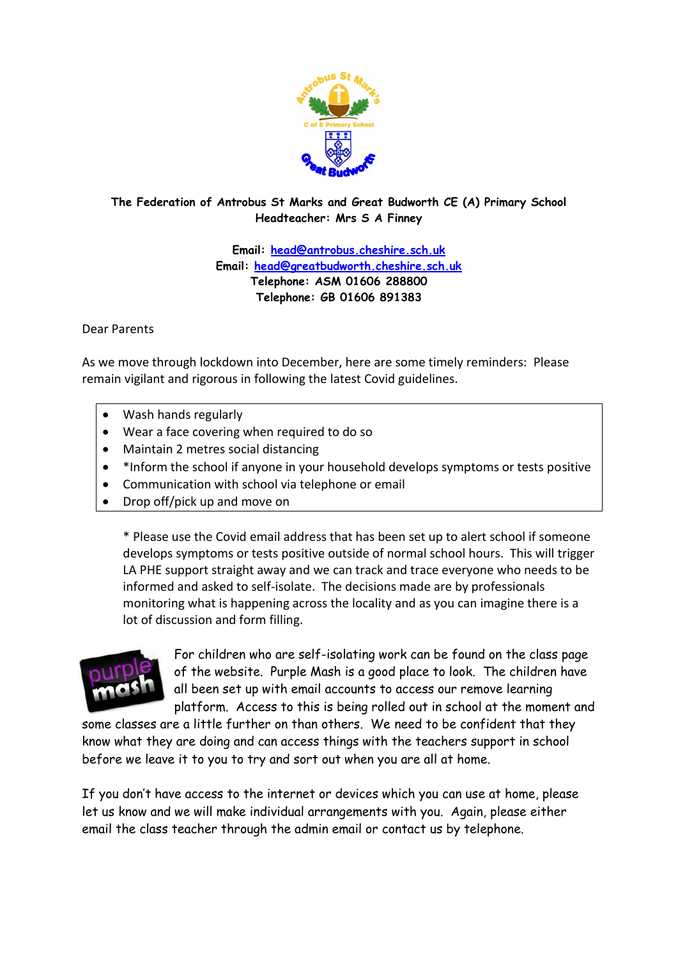

### **The Federation of Antrobus St Marks and Great Budworth CE (A) Primary School Headteacher: Mrs S A Finney**

**Email: [head@antrobus.cheshire.sch.uk](mailto:head@antrobus.cheshire.sch.uk) Email: [head@greatbudworth.cheshire.sch.uk](mailto:head@greatbudworth.cheshire.sch.uk) Telephone: ASM 01606 288800 Telephone: GB 01606 891383**

Dear Parents

As we move through lockdown into December, here are some timely reminders: Please remain vigilant and rigorous in following the latest Covid guidelines.

- Wash hands regularly
- Wear a face covering when required to do so
- Maintain 2 metres social distancing
- \*Inform the school if anyone in your household develops symptoms or tests positive
- Communication with school via telephone or email
- Drop off/pick up and move on

\* Please use the Covid email address that has been set up to alert school if someone develops symptoms or tests positive outside of normal school hours. This will trigger LA PHE support straight away and we can track and trace everyone who needs to be informed and asked to self-isolate. The decisions made are by professionals monitoring what is happening across the locality and as you can imagine there is a lot of discussion and form filling.



For children who are self-isolating work can be found on the class page of the website. Purple Mash is a good place to look. The children have all been set up with email accounts to access our remove learning platform. Access to this is being rolled out in school at the moment and

some classes are a little further on than others. We need to be confident that they know what they are doing and can access things with the teachers support in school before we leave it to you to try and sort out when you are all at home.

If you don't have access to the internet or devices which you can use at home, please let us know and we will make individual arrangements with you. Again, please either email the class teacher through the admin email or contact us by telephone.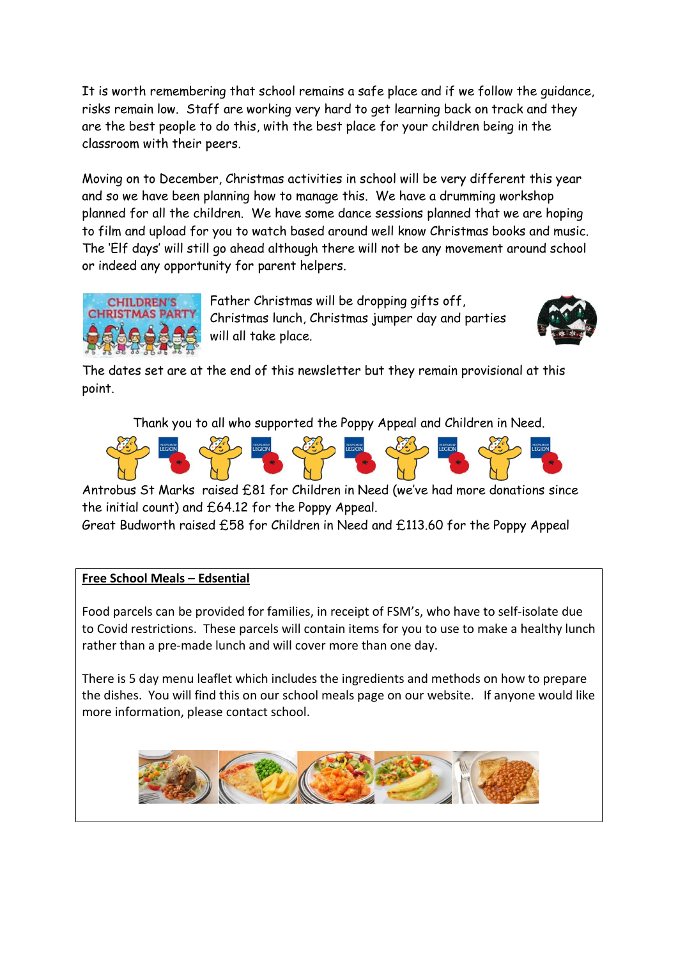It is worth remembering that school remains a safe place and if we follow the guidance, risks remain low. Staff are working very hard to get learning back on track and they are the best people to do this, with the best place for your children being in the classroom with their peers.

Moving on to December, Christmas activities in school will be very different this year and so we have been planning how to manage this. We have a drumming workshop planned for all the children. We have some dance sessions planned that we are hoping to film and upload for you to watch based around well know Christmas books and music. The 'Elf days' will still go ahead although there will not be any movement around school or indeed any opportunity for parent helpers.



Father Christmas will be dropping gifts off, Christmas lunch, Christmas jumper day and parties will all take place.



The dates set are at the end of this newsletter but they remain provisional at this point.

Thank you to all who supported the Poppy Appeal and Children in Need.



Antrobus St Marks raised £81 for Children in Need (we've had more donations since the initial count) and £64.12 for the Poppy Appeal.

Great Budworth raised £58 for Children in Need and £113.60 for the Poppy Appeal

## **Free School Meals – Edsential**

Food parcels can be provided for families, in receipt of FSM's, who have to self-isolate due to Covid restrictions. These parcels will contain items for you to use to make a healthy lunch rather than a pre-made lunch and will cover more than one day.

There is 5 day menu leaflet which includes the ingredients and methods on how to prepare the dishes. You will find this on our school meals page on our website. If anyone would like more information, please contact school.

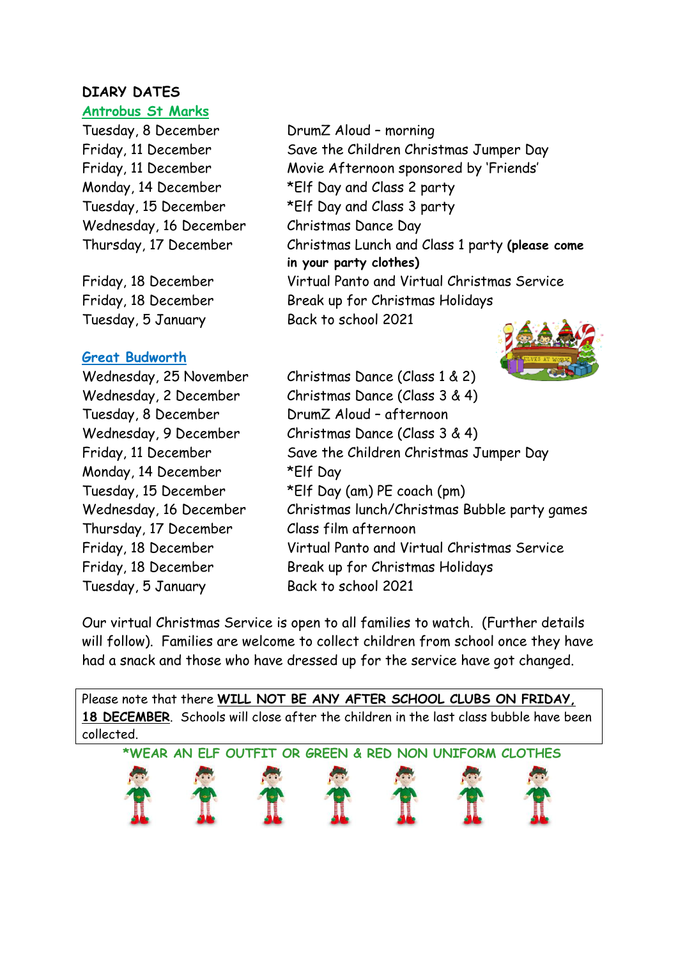# **DIARY DATES**

## **Antrobus St Marks**

Tuesday, 8 December DrumZ Aloud – morning Wednesday, 16 December Christmas Dance Day

Tuesday, 5 January Back to school 2021

## **Great Budworth**

Tuesday, 8 December DrumZ Aloud – afternoon Monday, 14 December \*Elf Day Thursday, 17 December Class film afternoon Tuesday, 5 January Back to school 2021

Friday, 11 December Save the Children Christmas Jumper Day Friday, 11 December Movie Afternoon sponsored by 'Friends' Monday, 14 December \*Elf Day and Class 2 party Tuesday, 15 December \*Elf Day and Class 3 party Thursday, 17 December Christmas Lunch and Class 1 party **(please come in your party clothes)** Friday, 18 December Virtual Panto and Virtual Christmas Service Friday, 18 December Break up for Christmas Holidays



Wednesday, 25 November Christmas Dance (Class 1 & 2) Wednesday, 2 December Christmas Dance (Class 3 & 4) Wednesday, 9 December Christmas Dance (Class 3 & 4) Friday, 11 December Save the Children Christmas Jumper Day Tuesday, 15 December \*Elf Day (am) PE coach (pm) Wednesday, 16 December Christmas lunch/Christmas Bubble party games Friday, 18 December Virtual Panto and Virtual Christmas Service Friday, 18 December Break up for Christmas Holidays

Our virtual Christmas Service is open to all families to watch. (Further details will follow). Families are welcome to collect children from school once they have had a snack and those who have dressed up for the service have got changed.

Please note that there **WILL NOT BE ANY AFTER SCHOOL CLUBS ON FRIDAY, 18 DECEMBER**. Schools will close after the children in the last class bubble have been collected.

**\*WEAR AN ELF OUTFIT OR GREEN & RED NON UNIFORM CLOTHES**